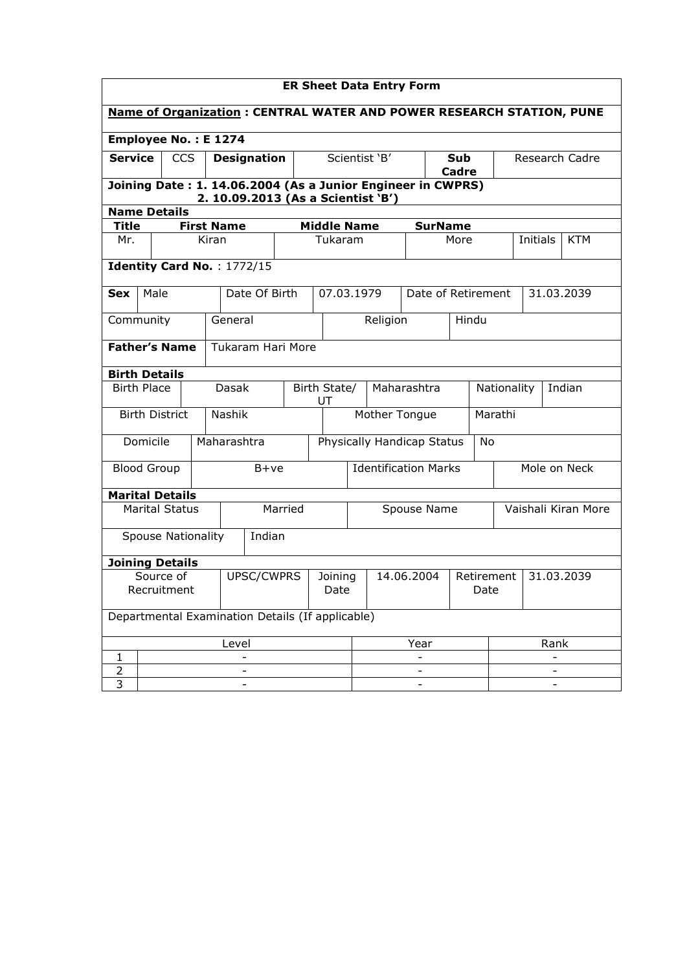| <b>ER Sheet Data Entry Form</b>                                             |                                                                                                   |                           |       |             |                    |                                                  |                 |                               |            |                     |                    |            |  |            |
|-----------------------------------------------------------------------------|---------------------------------------------------------------------------------------------------|---------------------------|-------|-------------|--------------------|--------------------------------------------------|-----------------|-------------------------------|------------|---------------------|--------------------|------------|--|------------|
| <b>Name of Organization: CENTRAL WATER AND POWER RESEARCH STATION, PUNE</b> |                                                                                                   |                           |       |             |                    |                                                  |                 |                               |            |                     |                    |            |  |            |
| Employee No.: E 1274                                                        |                                                                                                   |                           |       |             |                    |                                                  |                 |                               |            |                     |                    |            |  |            |
| <b>Service</b>                                                              |                                                                                                   | <b>CCS</b>                |       |             | <b>Designation</b> |                                                  |                 | Scientist 'B'<br>Sub<br>Cadre |            |                     | Research Cadre     |            |  |            |
|                                                                             | Joining Date: 1. 14.06.2004 (As a Junior Engineer in CWPRS)<br>2. 10.09.2013 (As a Scientist 'B') |                           |       |             |                    |                                                  |                 |                               |            |                     |                    |            |  |            |
| <b>Name Details</b>                                                         |                                                                                                   |                           |       |             |                    |                                                  |                 |                               |            |                     |                    |            |  |            |
| <b>First Name</b><br><b>Middle Name</b><br><b>Title</b><br><b>SurName</b>   |                                                                                                   |                           |       |             |                    |                                                  |                 |                               |            |                     |                    |            |  |            |
| Mr.                                                                         |                                                                                                   |                           | Kiran |             |                    |                                                  | Tukaram         |                               |            | More                |                    | Initials   |  | <b>KTM</b> |
| Identity Card No.: 1772/15                                                  |                                                                                                   |                           |       |             |                    |                                                  |                 |                               |            |                     |                    |            |  |            |
| <b>Sex</b>                                                                  | Male                                                                                              |                           |       |             | Date Of Birth      |                                                  | 07.03.1979      |                               |            |                     | Date of Retirement |            |  | 31.03.2039 |
| Community                                                                   |                                                                                                   |                           |       | General     |                    |                                                  |                 | Religion                      |            |                     | Hindu              |            |  |            |
|                                                                             | <b>Father's Name</b><br><b>Tukaram Hari More</b>                                                  |                           |       |             |                    |                                                  |                 |                               |            |                     |                    |            |  |            |
|                                                                             | <b>Birth Details</b>                                                                              |                           |       |             |                    |                                                  |                 |                               |            |                     |                    |            |  |            |
| <b>Birth Place</b>                                                          |                                                                                                   |                           |       | Dasak       |                    | Birth State/<br>Maharashtra<br>Nationality<br>UT |                 |                               |            | Indian              |                    |            |  |            |
| <b>Birth District</b>                                                       |                                                                                                   |                           |       | Nashik      |                    |                                                  |                 | Mother Tongue                 |            |                     |                    | Marathi    |  |            |
| Domicile                                                                    |                                                                                                   |                           |       | Maharashtra |                    | Physically Handicap Status<br><b>No</b>          |                 |                               |            |                     |                    |            |  |            |
| <b>Blood Group</b>                                                          |                                                                                                   |                           |       |             | $B+ve$             | <b>Identification Marks</b>                      |                 |                               |            |                     | Mole on Neck       |            |  |            |
| <b>Marital Details</b>                                                      |                                                                                                   |                           |       |             |                    |                                                  |                 |                               |            |                     |                    |            |  |            |
|                                                                             |                                                                                                   | <b>Marital Status</b>     |       |             | Married            | Spouse Name                                      |                 |                               |            | Vaishali Kiran More |                    |            |  |            |
|                                                                             |                                                                                                   | <b>Spouse Nationality</b> |       |             | Indian             |                                                  |                 |                               |            |                     |                    |            |  |            |
| <b>Joining Details</b>                                                      |                                                                                                   |                           |       |             |                    |                                                  |                 |                               |            |                     |                    |            |  |            |
| Source of<br>Recruitment                                                    |                                                                                                   |                           |       |             | UPSC/CWPRS         |                                                  | Joining<br>Date |                               | 14.06.2004 | Retirement<br>Date  |                    | 31.03.2039 |  |            |
| Departmental Examination Details (If applicable)                            |                                                                                                   |                           |       |             |                    |                                                  |                 |                               |            |                     |                    |            |  |            |
|                                                                             |                                                                                                   |                           |       | Level       |                    |                                                  |                 |                               | Year       |                     |                    | Rank       |  |            |
| 1                                                                           |                                                                                                   |                           |       |             |                    |                                                  |                 |                               |            |                     |                    |            |  |            |
| 2                                                                           |                                                                                                   |                           |       |             |                    |                                                  |                 |                               |            |                     |                    |            |  |            |
| 3                                                                           |                                                                                                   |                           |       |             |                    |                                                  |                 |                               |            |                     |                    |            |  |            |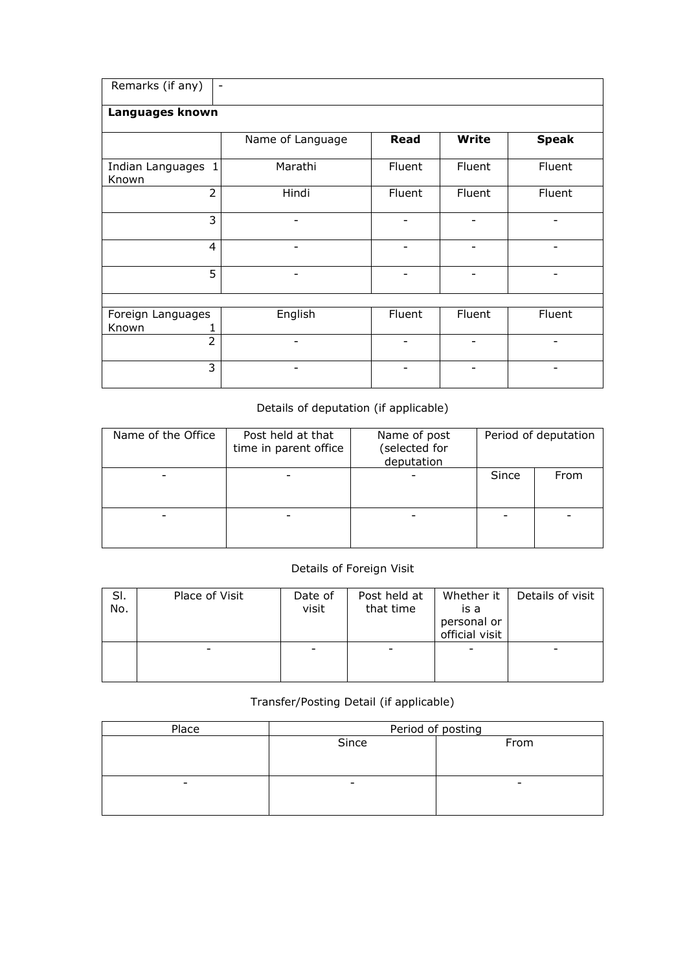| Remarks (if any)            | $\overline{\phantom{a}}$ |             |              |              |  |  |  |  |  |  |  |
|-----------------------------|--------------------------|-------------|--------------|--------------|--|--|--|--|--|--|--|
| Languages known             |                          |             |              |              |  |  |  |  |  |  |  |
|                             | Name of Language         | <b>Read</b> | <b>Write</b> | <b>Speak</b> |  |  |  |  |  |  |  |
| Indian Languages 1<br>Known | Marathi                  | Fluent      | Fluent       | Fluent       |  |  |  |  |  |  |  |
| $\overline{2}$              | Hindi                    | Fluent      | Fluent       | Fluent       |  |  |  |  |  |  |  |
| 3                           |                          |             |              |              |  |  |  |  |  |  |  |
| $\overline{4}$              |                          |             |              |              |  |  |  |  |  |  |  |
| 5                           | -                        |             |              |              |  |  |  |  |  |  |  |
|                             |                          |             |              |              |  |  |  |  |  |  |  |
| Foreign Languages<br>Known  | English                  | Fluent      | Fluent       | Fluent       |  |  |  |  |  |  |  |
| $\overline{2}$              |                          |             |              |              |  |  |  |  |  |  |  |
| 3                           |                          |             |              |              |  |  |  |  |  |  |  |

# Details of deputation (if applicable)

| Name of the Office | Post held at that<br>time in parent office | Name of post<br>(selected for<br>deputation | Period of deputation |      |  |
|--------------------|--------------------------------------------|---------------------------------------------|----------------------|------|--|
|                    |                                            |                                             | Since                | From |  |
|                    |                                            |                                             |                      |      |  |

# Details of Foreign Visit

| SI.<br>No. | Place of Visit | Date of<br>visit | Post held at<br>that time | Whether it<br>is a<br>personal or<br>official visit | Details of visit |
|------------|----------------|------------------|---------------------------|-----------------------------------------------------|------------------|
|            |                |                  |                           |                                                     |                  |

## Transfer/Posting Detail (if applicable)

| Place                    | Period of posting |      |  |  |  |  |
|--------------------------|-------------------|------|--|--|--|--|
|                          | Since             | From |  |  |  |  |
|                          |                   |      |  |  |  |  |
|                          |                   |      |  |  |  |  |
| $\overline{\phantom{0}}$ | -                 |      |  |  |  |  |
|                          |                   |      |  |  |  |  |
|                          |                   |      |  |  |  |  |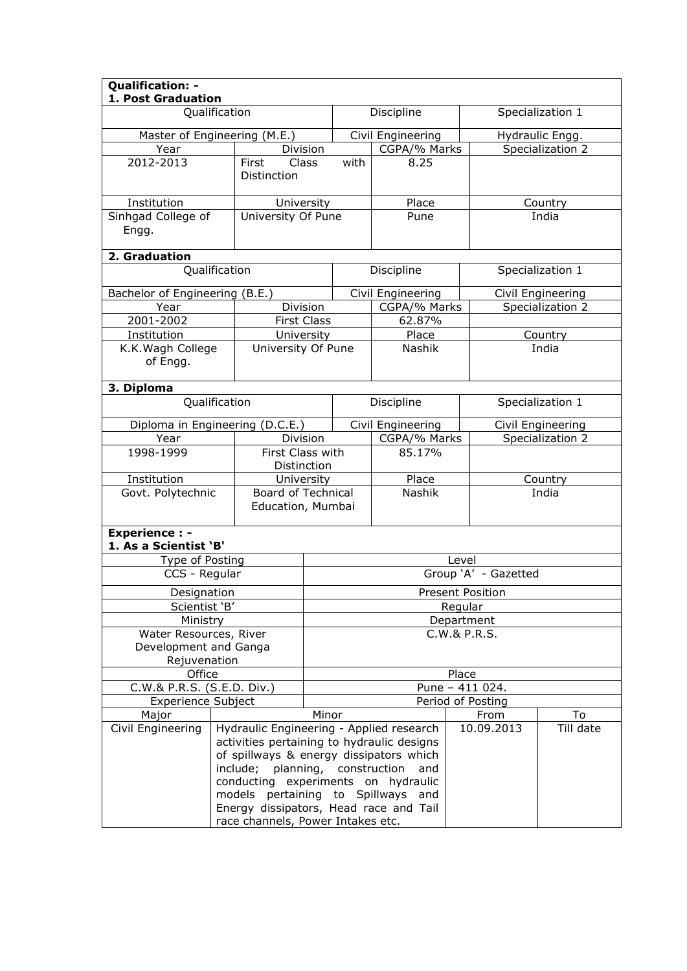| Qualification: -<br>1. Post Graduation<br>Qualification         |                                                |                                                                      | Discipline<br>Specialization 1                                                                                                                                                                                                                                  |                      |                   |                                     |                   |  |
|-----------------------------------------------------------------|------------------------------------------------|----------------------------------------------------------------------|-----------------------------------------------------------------------------------------------------------------------------------------------------------------------------------------------------------------------------------------------------------------|----------------------|-------------------|-------------------------------------|-------------------|--|
|                                                                 |                                                |                                                                      |                                                                                                                                                                                                                                                                 |                      |                   |                                     |                   |  |
| Master of Engineering (M.E.)                                    |                                                |                                                                      | Civil Engineering                                                                                                                                                                                                                                               |                      |                   | Hydraulic Engg.<br>Specialization 2 |                   |  |
| Year<br>2012-2013                                               | Division<br>First<br>Class                     |                                                                      | with                                                                                                                                                                                                                                                            | CGPA/% Marks<br>8.25 |                   |                                     |                   |  |
|                                                                 | Distinction                                    |                                                                      |                                                                                                                                                                                                                                                                 |                      |                   |                                     |                   |  |
| Institution                                                     | University                                     |                                                                      |                                                                                                                                                                                                                                                                 | Place                |                   |                                     | Country           |  |
| Sinhgad College of<br>Engg.                                     | University Of Pune                             |                                                                      |                                                                                                                                                                                                                                                                 | Pune                 |                   |                                     | India             |  |
| 2. Graduation                                                   |                                                |                                                                      |                                                                                                                                                                                                                                                                 |                      |                   |                                     |                   |  |
| Qualification                                                   |                                                |                                                                      |                                                                                                                                                                                                                                                                 | Discipline           |                   |                                     | Specialization 1  |  |
| Bachelor of Engineering (B.E.)                                  |                                                |                                                                      |                                                                                                                                                                                                                                                                 | Civil Engineering    |                   |                                     | Civil Engineering |  |
| Year                                                            | Division                                       |                                                                      |                                                                                                                                                                                                                                                                 | CGPA/% Marks         |                   |                                     | Specialization 2  |  |
| $2001 - 2002$                                                   | <b>First Class</b>                             |                                                                      |                                                                                                                                                                                                                                                                 | 62.87%               |                   |                                     |                   |  |
| Institution                                                     | University                                     |                                                                      |                                                                                                                                                                                                                                                                 | Place                |                   |                                     | Country           |  |
| K.K. Wagh College<br>of Engg.                                   | University Of Pune                             |                                                                      |                                                                                                                                                                                                                                                                 | Nashik               |                   |                                     | India             |  |
| 3. Diploma                                                      |                                                |                                                                      |                                                                                                                                                                                                                                                                 |                      |                   |                                     |                   |  |
| Qualification                                                   |                                                |                                                                      |                                                                                                                                                                                                                                                                 | Discipline           | Specialization 1  |                                     |                   |  |
| Diploma in Engineering (D.C.E.)                                 |                                                |                                                                      |                                                                                                                                                                                                                                                                 | Civil Engineering    |                   |                                     | Civil Engineering |  |
| Year                                                            | Division                                       |                                                                      |                                                                                                                                                                                                                                                                 | CGPA/% Marks         |                   |                                     | Specialization 2  |  |
| 1998-1999                                                       | First Class with<br>Distinction                | 85.17%                                                               |                                                                                                                                                                                                                                                                 |                      |                   |                                     |                   |  |
| Institution                                                     | University                                     |                                                                      |                                                                                                                                                                                                                                                                 | Place                |                   |                                     | Country           |  |
| Govt. Polytechnic                                               | <b>Board of Technical</b><br>Education, Mumbai |                                                                      |                                                                                                                                                                                                                                                                 | Nashik               |                   | India                               |                   |  |
| <b>Experience:-</b><br>1. As a Scientist 'B'                    |                                                |                                                                      |                                                                                                                                                                                                                                                                 |                      |                   |                                     |                   |  |
| Type of Posting                                                 |                                                | Level                                                                |                                                                                                                                                                                                                                                                 |                      |                   |                                     |                   |  |
| CCS - Regular                                                   |                                                | Group 'A' - Gazetted                                                 |                                                                                                                                                                                                                                                                 |                      |                   |                                     |                   |  |
| Designation                                                     |                                                | <b>Present Position</b>                                              |                                                                                                                                                                                                                                                                 |                      |                   |                                     |                   |  |
| Scientist 'B'                                                   |                                                | Regular                                                              |                                                                                                                                                                                                                                                                 |                      |                   |                                     |                   |  |
| Ministry                                                        |                                                | Department                                                           |                                                                                                                                                                                                                                                                 |                      |                   |                                     |                   |  |
| Water Resources, River<br>Development and Ganga<br>Rejuvenation |                                                | C.W.& P.R.S.                                                         |                                                                                                                                                                                                                                                                 |                      |                   |                                     |                   |  |
| Office                                                          |                                                |                                                                      |                                                                                                                                                                                                                                                                 |                      | Place             |                                     |                   |  |
| C.W.& P.R.S. (S.E.D. Div.)                                      |                                                |                                                                      |                                                                                                                                                                                                                                                                 |                      | Pune - 411 024.   |                                     |                   |  |
| <b>Experience Subject</b>                                       |                                                |                                                                      |                                                                                                                                                                                                                                                                 |                      | Period of Posting |                                     |                   |  |
| Major                                                           |                                                |                                                                      | Minor                                                                                                                                                                                                                                                           |                      |                   | From                                | To                |  |
| Civil Engineering                                               |                                                | include; planning, construction<br>race channels, Power Intakes etc. | Hydraulic Engineering - Applied research<br>activities pertaining to hydraulic designs<br>of spillways & energy dissipators which<br>and<br>conducting experiments on hydraulic<br>models pertaining to Spillways and<br>Energy dissipators, Head race and Tail |                      | 10.09.2013        | Till date                           |                   |  |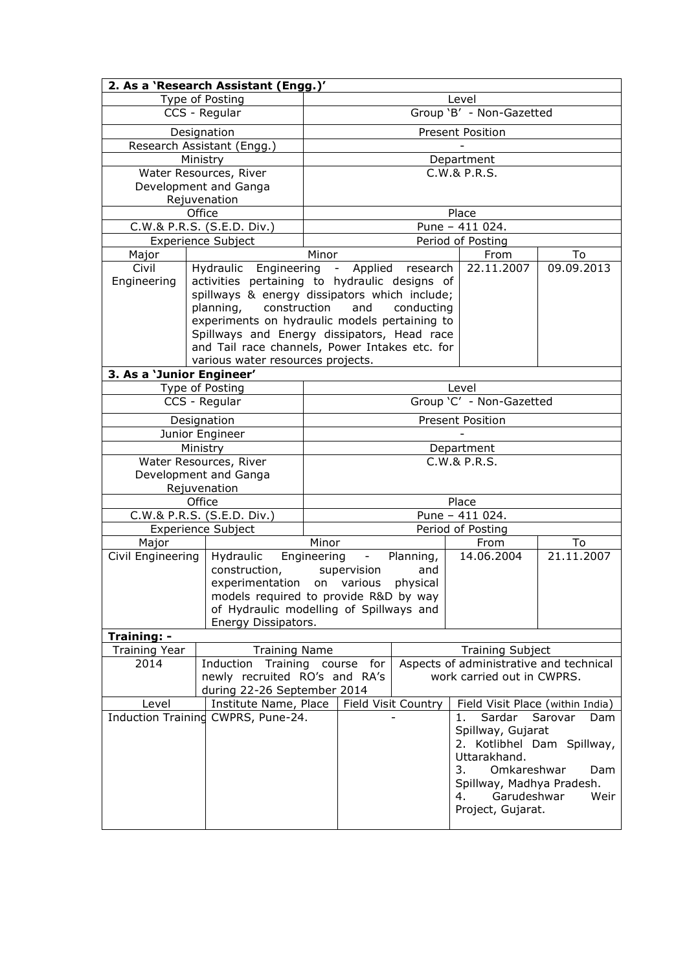|                                                                                        | 2. As a 'Research Assistant (Engg.)'           |                                            |                         |            |                                                 |                |  |  |
|----------------------------------------------------------------------------------------|------------------------------------------------|--------------------------------------------|-------------------------|------------|-------------------------------------------------|----------------|--|--|
|                                                                                        | Type of Posting                                |                                            | Level                   |            |                                                 |                |  |  |
|                                                                                        | CCS - Regular                                  | Group 'B' - Non-Gazetted                   |                         |            |                                                 |                |  |  |
|                                                                                        | Designation                                    |                                            | <b>Present Position</b> |            |                                                 |                |  |  |
|                                                                                        | Research Assistant (Engg.)                     |                                            |                         |            |                                                 |                |  |  |
|                                                                                        | Ministry                                       |                                            |                         |            | Department                                      |                |  |  |
|                                                                                        | Water Resources, River                         |                                            |                         |            | C.W.& P.R.S.                                    |                |  |  |
|                                                                                        | Development and Ganga                          |                                            |                         |            |                                                 |                |  |  |
|                                                                                        | Rejuvenation                                   |                                            |                         |            |                                                 |                |  |  |
|                                                                                        | Office                                         |                                            |                         |            | Place                                           |                |  |  |
|                                                                                        | C.W.& P.R.S. (S.E.D. Div.)                     |                                            |                         |            | Pune - 411 024.                                 |                |  |  |
|                                                                                        | <b>Experience Subject</b>                      |                                            |                         |            | Period of Posting                               |                |  |  |
| Major                                                                                  |                                                | Minor                                      |                         |            | From                                            | To             |  |  |
| Civil                                                                                  | Hydraulic Engineering - Applied research       |                                            |                         |            | 22.11.2007                                      | 09.09.2013     |  |  |
| Engineering                                                                            | activities pertaining to hydraulic designs of  |                                            |                         |            |                                                 |                |  |  |
|                                                                                        | spillways & energy dissipators which include;  |                                            |                         |            |                                                 |                |  |  |
|                                                                                        | planning,<br>construction                      |                                            | and                     | conducting |                                                 |                |  |  |
|                                                                                        | experiments on hydraulic models pertaining to  |                                            |                         |            |                                                 |                |  |  |
|                                                                                        | Spillways and Energy dissipators, Head race    |                                            |                         |            |                                                 |                |  |  |
|                                                                                        | and Tail race channels, Power Intakes etc. for |                                            |                         |            |                                                 |                |  |  |
|                                                                                        | various water resources projects.              |                                            |                         |            |                                                 |                |  |  |
| 3. As a 'Junior Engineer'                                                              |                                                |                                            |                         |            | Level                                           |                |  |  |
|                                                                                        | Type of Posting<br>CCS - Regular               |                                            |                         |            | Group 'C' - Non-Gazetted                        |                |  |  |
|                                                                                        |                                                |                                            |                         |            |                                                 |                |  |  |
|                                                                                        | Designation                                    | <b>Present Position</b>                    |                         |            |                                                 |                |  |  |
|                                                                                        | Junior Engineer                                |                                            |                         |            |                                                 |                |  |  |
|                                                                                        | Ministry<br>Water Resources, River             |                                            |                         |            | Department<br>C.W.& P.R.S.                      |                |  |  |
|                                                                                        | Development and Ganga                          |                                            |                         |            |                                                 |                |  |  |
|                                                                                        | Rejuvenation                                   |                                            |                         |            |                                                 |                |  |  |
|                                                                                        | Office                                         |                                            |                         |            | Place                                           |                |  |  |
|                                                                                        | C.W.& P.R.S. (S.E.D. Div.)                     | Pune - 411 024.                            |                         |            |                                                 |                |  |  |
|                                                                                        | <b>Experience Subject</b>                      | Period of Posting                          |                         |            |                                                 |                |  |  |
| Major                                                                                  |                                                | Minor                                      |                         |            | From                                            | To             |  |  |
| Civil Engineering                                                                      | Hydraulic                                      | Engineering<br>Planning,<br>$\blacksquare$ |                         |            | 14.06.2004                                      | 21.11.2007     |  |  |
|                                                                                        | construction,                                  |                                            | supervision             | and        |                                                 |                |  |  |
|                                                                                        | experimentation on various                     |                                            |                         | physical   |                                                 |                |  |  |
|                                                                                        | models required to provide R&D by way          |                                            |                         |            |                                                 |                |  |  |
|                                                                                        | of Hydraulic modelling of Spillways and        |                                            |                         |            |                                                 |                |  |  |
|                                                                                        | Energy Dissipators.                            |                                            |                         |            |                                                 |                |  |  |
| Training: -                                                                            |                                                |                                            |                         |            |                                                 |                |  |  |
| <b>Training Year</b>                                                                   | <b>Training Name</b>                           |                                            |                         |            | <b>Training Subject</b>                         |                |  |  |
| 2014                                                                                   | Induction Training course for                  |                                            |                         |            | Aspects of administrative and technical         |                |  |  |
|                                                                                        | newly recruited RO's and RA's                  |                                            |                         |            | work carried out in CWPRS.                      |                |  |  |
| during 22-26 September 2014<br>Field Visit Country<br>Field Visit Place (within India) |                                                |                                            |                         |            |                                                 |                |  |  |
| Level<br>Institute Name, Place<br>Induction Training CWPRS, Pune-24.                   |                                                |                                            |                         |            | Sardar                                          |                |  |  |
|                                                                                        |                                                |                                            |                         |            | 1.                                              | Sarovar<br>Dam |  |  |
|                                                                                        |                                                |                                            |                         |            | Spillway, Gujarat<br>2. Kotlibhel Dam Spillway, |                |  |  |
|                                                                                        |                                                |                                            |                         |            | Uttarakhand.                                    |                |  |  |
|                                                                                        |                                                |                                            |                         |            | Omkareshwar<br>3.                               | Dam            |  |  |
|                                                                                        |                                                |                                            |                         |            | Spillway, Madhya Pradesh.                       |                |  |  |
|                                                                                        |                                                |                                            |                         |            | Garudeshwar<br>4.                               | Weir           |  |  |
|                                                                                        |                                                |                                            |                         |            | Project, Gujarat.                               |                |  |  |
|                                                                                        |                                                |                                            |                         |            |                                                 |                |  |  |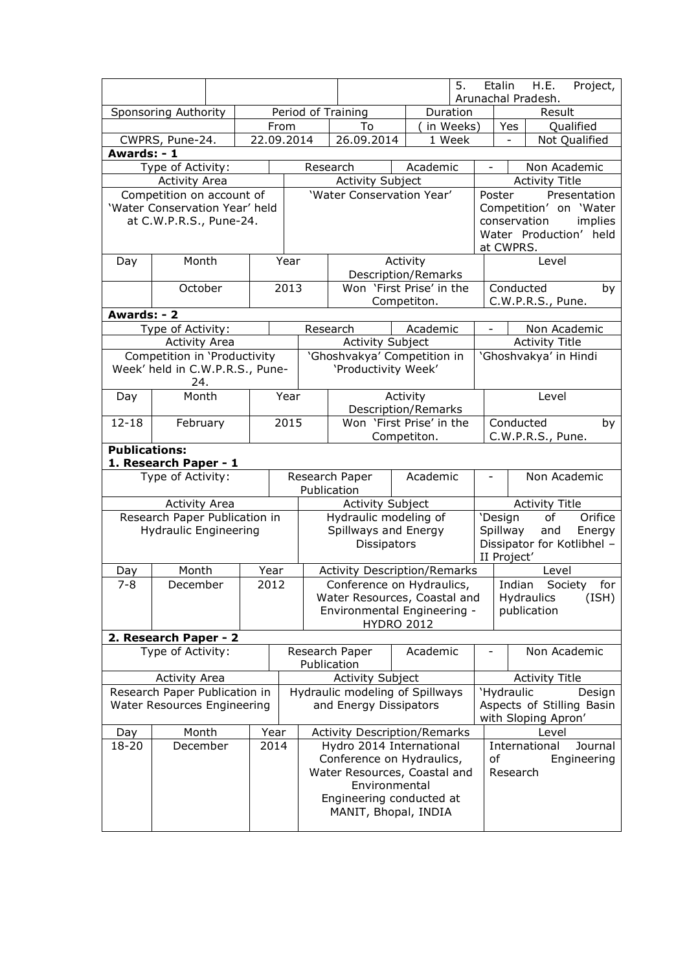|                                                                                        |                                                      |               |            |                    |                                                                                                                                                                              | 5.                                                                               |                                   | Etalin<br>H.E.<br>Project,<br>Arunachal Pradesh.                                         |  |  |
|----------------------------------------------------------------------------------------|------------------------------------------------------|---------------|------------|--------------------|------------------------------------------------------------------------------------------------------------------------------------------------------------------------------|----------------------------------------------------------------------------------|-----------------------------------|------------------------------------------------------------------------------------------|--|--|
|                                                                                        | Sponsoring Authority                                 |               |            | Period of Training |                                                                                                                                                                              | Duration                                                                         |                                   | Result                                                                                   |  |  |
|                                                                                        |                                                      |               | From       |                    | To                                                                                                                                                                           | in Weeks)                                                                        |                                   | Qualified<br>Yes                                                                         |  |  |
|                                                                                        | CWPRS, Pune-24.                                      |               | 22.09.2014 |                    | 26.09.2014                                                                                                                                                                   | 1 Week                                                                           |                                   | Not Qualified<br>$\qquad \qquad \blacksquare$                                            |  |  |
| Awards: - 1                                                                            |                                                      |               |            |                    |                                                                                                                                                                              |                                                                                  |                                   |                                                                                          |  |  |
|                                                                                        | Type of Activity:                                    |               |            |                    | Research                                                                                                                                                                     | Academic                                                                         |                                   | Non Academic                                                                             |  |  |
|                                                                                        | <b>Activity Area</b>                                 |               |            |                    | <b>Activity Subject</b>                                                                                                                                                      | 'Water Conservation Year'                                                        |                                   | <b>Activity Title</b><br>Presentation<br>Poster                                          |  |  |
| Competition on account of<br>'Water Conservation Year' held<br>at C.W.P.R.S., Pune-24. |                                                      |               |            |                    |                                                                                                                                                                              |                                                                                  |                                   | Competition' on 'Water<br>conservation<br>implies<br>Water Production' held<br>at CWPRS. |  |  |
| Day                                                                                    | Month                                                |               |            | Year               |                                                                                                                                                                              | Activity                                                                         |                                   | Level                                                                                    |  |  |
|                                                                                        |                                                      |               |            |                    |                                                                                                                                                                              | Description/Remarks                                                              |                                   |                                                                                          |  |  |
|                                                                                        | October                                              |               |            | 2013               |                                                                                                                                                                              | Won 'First Prise' in the                                                         |                                   | Conducted<br>by                                                                          |  |  |
|                                                                                        |                                                      |               |            |                    |                                                                                                                                                                              | Competiton.                                                                      |                                   | C.W.P.R.S., Pune.                                                                        |  |  |
| Awards: - 2                                                                            |                                                      |               |            |                    |                                                                                                                                                                              |                                                                                  |                                   |                                                                                          |  |  |
|                                                                                        | Type of Activity:                                    |               |            |                    | Research                                                                                                                                                                     | Academic                                                                         |                                   | Non Academic<br>$\blacksquare$                                                           |  |  |
|                                                                                        | <b>Activity Area</b><br>Competition in 'Productivity |               |            |                    | <b>Activity Subject</b>                                                                                                                                                      | 'Ghoshvakya' Competition in                                                      |                                   | <b>Activity Title</b><br>'Ghoshvakya' in Hindi                                           |  |  |
|                                                                                        | Week' held in C.W.P.R.S., Pune-                      |               |            |                    | 'Productivity Week'                                                                                                                                                          |                                                                                  |                                   |                                                                                          |  |  |
|                                                                                        | 24.                                                  |               |            |                    |                                                                                                                                                                              |                                                                                  |                                   |                                                                                          |  |  |
| Day                                                                                    |                                                      | Month<br>Year |            |                    |                                                                                                                                                                              | Activity<br>Description/Remarks                                                  |                                   | Level                                                                                    |  |  |
| $12 - 18$<br>February                                                                  |                                                      |               |            | 2015               |                                                                                                                                                                              | Won 'First Prise' in the                                                         |                                   | Conducted<br>by                                                                          |  |  |
|                                                                                        |                                                      |               |            |                    | Competiton.                                                                                                                                                                  |                                                                                  |                                   | C.W.P.R.S., Pune.                                                                        |  |  |
| <b>Publications:</b><br>1. Research Paper - 1                                          |                                                      |               |            |                    |                                                                                                                                                                              |                                                                                  |                                   |                                                                                          |  |  |
|                                                                                        | Type of Activity:                                    |               |            |                    | Research Paper<br>Academic<br>Publication                                                                                                                                    |                                                                                  |                                   | Non Academic                                                                             |  |  |
|                                                                                        | <b>Activity Area</b>                                 |               |            |                    | <b>Activity Subject</b>                                                                                                                                                      |                                                                                  |                                   | <b>Activity Title</b>                                                                    |  |  |
|                                                                                        | Research Paper Publication in                        |               |            |                    | Hydraulic modeling of                                                                                                                                                        |                                                                                  |                                   | 'Design<br>of<br>Orifice                                                                 |  |  |
|                                                                                        | <b>Hydraulic Engineering</b>                         |               |            |                    | Spillways and Energy<br>Dissipators                                                                                                                                          |                                                                                  |                                   | and<br>Spillway<br>Energy<br>Dissipator for Kotlibhel -<br>II Project'                   |  |  |
| Day                                                                                    | Month                                                |               | Year       |                    |                                                                                                                                                                              | <b>Activity Description/Remarks</b>                                              |                                   | Level                                                                                    |  |  |
| $7 - 8$                                                                                | December                                             |               | 2012       |                    |                                                                                                                                                                              | Conference on Hydraulics,                                                        |                                   | Indian<br>Society<br>for                                                                 |  |  |
|                                                                                        |                                                      |               |            |                    |                                                                                                                                                                              | Water Resources, Coastal and<br>Environmental Engineering -<br><b>HYDRO 2012</b> |                                   | Hydraulics<br>(ISH)<br>publication                                                       |  |  |
|                                                                                        | 2. Research Paper - 2                                |               |            |                    |                                                                                                                                                                              |                                                                                  |                                   |                                                                                          |  |  |
|                                                                                        | Type of Activity:                                    |               |            |                    | Research Paper<br>Publication                                                                                                                                                | Academic                                                                         |                                   | Non Academic                                                                             |  |  |
|                                                                                        | <b>Activity Area</b>                                 |               |            |                    | <b>Activity Subject</b>                                                                                                                                                      |                                                                                  |                                   | <b>Activity Title</b>                                                                    |  |  |
| Research Paper Publication in<br>Water Resources Engineering                           |                                                      |               |            |                    | and Energy Dissipators                                                                                                                                                       | Hydraulic modeling of Spillways                                                  |                                   | 'Hydraulic<br>Design<br>Aspects of Stilling Basin                                        |  |  |
|                                                                                        |                                                      |               |            |                    |                                                                                                                                                                              |                                                                                  | with Sloping Apron'               |                                                                                          |  |  |
| Month<br>Day                                                                           |                                                      | Year          |            |                    | <b>Activity Description/Remarks</b>                                                                                                                                          |                                                                                  | Level<br>International<br>Journal |                                                                                          |  |  |
|                                                                                        | 18-20<br>December<br>2014                            |               |            |                    | Hydro 2014 International<br>Conference on Hydraulics,<br>of<br>Water Resources, Coastal and<br>Research<br>Environmental<br>Engineering conducted at<br>MANIT, Bhopal, INDIA |                                                                                  |                                   |                                                                                          |  |  |
|                                                                                        |                                                      |               |            |                    |                                                                                                                                                                              |                                                                                  |                                   |                                                                                          |  |  |